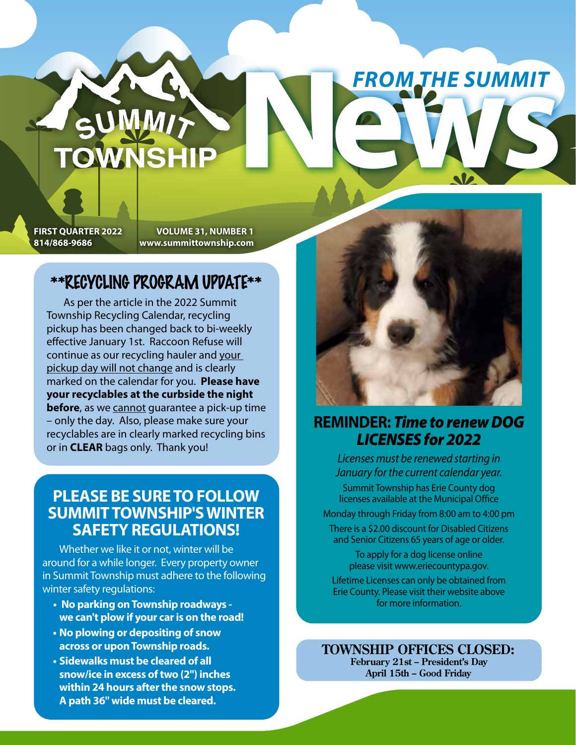## **FIRST QUARTER 2022 VOLUME 31, NUMBER 1**

**814/868-9686 www.summittownship.com**

## \*\*RECYCLING PROGRAM UPDATE\*\*

**TOWNSHI** 

As per the article in the 2022 Summit Township Recycling Calendar, recycling pickup has been changed back to bi-weekly effective January 1st. Raccoon Refuse will continue as our recycling hauler and your pickup day will not change and is clearly marked on the calendar for you. **Please have your recyclables at the curbside the night before**, as we cannot guarantee a pick-up time – only the day. Also, please make sure your recyclables are in clearly marked recycling bins or in **CLEAR** bags only. Thank you!

### **PLEASE BE SURE TO FOLLOW SUMMIT TOWNSHIP'S WINTER SAFETY REGULATIONS!**

Whether we like it or not, winter will be around for a while longer. Every property owner in Summit Township must adhere to the following winter safety regulations:

- **No parking on Township roadways we can't plow if your car is on the road!**
- **No plowing or depositing of snow across or upon Township roads.**
- **Sidewalks must be cleared of all snow/ice in excess of two (2") inches within 24 hours after the snow stops. A path 36" wide must be cleared.**



**NEWS AND RESUMMIT** 

*FROM THE SUMMIT*

## **REMINDER:** *Time to renew DOG LICENSES for 2022*

*Licenses must be renewed starting in January for the current calendar year.* Summit Township has Erie County dog licenses available at the Municipal Office Monday through Friday from 8:00 am to 4:00 pm There is a \$2.00 discount for Disabled Citizens and Senior Citizens 65 years of age or older.

To apply for a dog license online please visit www.eriecountypa.gov.

Lifetime Licenses can only be obtained from Erie County. Please visit their website above for more information.

**TOWNSHIP OFFICES CLOSED: February 21st – President's Day**

**April 15th – Good Friday**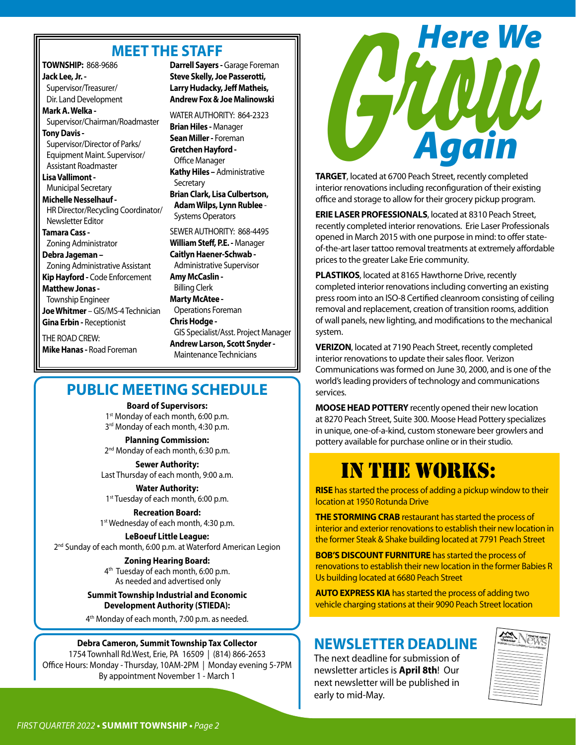#### **MEET THE STAFF**

**TOWNSHIP:** 868-9686 **Jack Lee, Jr. -** Supervisor/Treasurer/ Dir. Land Development **Mark A. Welka -**  Supervisor/Chairman/Roadmaster **Tony Davis -**  Supervisor/Director of Parks/ Equipment Maint. Supervisor/ Assistant Roadmaster **Lisa Vallimont -**  Municipal Secretary **Michelle Nesselhauf -** HR Director/Recycling Coordinator/ Newsletter Editor **Tamara Cass -**  Zoning Administrator **Debra Jageman –**  Zoning Administrative Assistant **Kip Hayford -** Code Enforcement **Matthew Jonas -** Township Engineer **Joe Whitmer** – GIS/MS-4 Technician **Gina Erbin -** Receptionist THE ROAD CREW: **Mike Hanas -** Road Foreman

**Darrell Sayers -** Garage Foreman **Steve Skelly, Joe Passerotti, Larry Hudacky, Jeff Matheis, Andrew Fox & Joe Malinowski**

WATER AUTHORITY: 864-2323 **Brian Hiles -** Manager **Sean Miller -** Foreman **Gretchen Hayford -** Office Manager **Kathy Hiles –** Administrative **Secretary Brian Clark, Lisa Culbertson, Adam Wilps, Lynn Rublee** - Systems Operators SEWER AUTHORITY: 868-4495 **William Steff, P.E. -** Manager **Caitlyn Haener-Schwab -** Administrative Supervisor **Amy McCaslin -** Billing Clerk **Marty McAtee -** Operations Foreman

**Chris Hodge -** GIS Specialist/Asst. Project Manager **Andrew Larson, Scott Snyder -** Maintenance Technicians

### **PUBLIC MEETING SCHEDULE**

**Board of Supervisors:**  1<sup>st</sup> Monday of each month, 6:00 p.m. 3<sup>rd</sup> Monday of each month, 4:30 p.m.

**Planning Commission:**  2<sup>nd</sup> Monday of each month, 6:30 p.m.

**Sewer Authority:**  Last Thursday of each month, 9:00 a.m.

**Water Authority:**  1<sup>st</sup> Tuesday of each month, 6:00 p.m.

**Recreation Board:**  1<sup>st</sup> Wednesday of each month, 4:30 p.m.

**LeBoeuf Little League:**  2<sup>nd</sup> Sunday of each month, 6:00 p.m. at Waterford American Legion

#### **Zoning Hearing Board:**

4<sup>th</sup> Tuesday of each month, 6:00 p.m. As needed and advertised only

**Summit Township Industrial and Economic Development Authority (STIEDA):**

4<sup>th</sup> Monday of each month, 7:00 p.m. as needed.

#### **Debra Cameron, Summit Township Tax Collector**

1754 Townhall Rd.West, Erie, PA 16509 | (814) 866-2653 Office Hours: Monday - Thursday, 10AM-2PM | Monday evening 5-7PM By appointment November 1 - March 1



**TARGET**, located at 6700 Peach Street, recently completed interior renovations including reconfiguration of their existing office and storage to allow for their grocery pickup program.

**ERIE LASER PROFESSIONALS**, located at 8310 Peach Street, recently completed interior renovations. Erie Laser Professionals opened in March 2015 with one purpose in mind: to offer stateof-the-art laser tattoo removal treatments at extremely affordable prices to the greater Lake Erie community.

**PLASTIKOS**, located at 8165 Hawthorne Drive, recently completed interior renovations including converting an existing press room into an ISO-8 Certified cleanroom consisting of ceiling removal and replacement, creation of transition rooms, addition of wall panels, new lighting, and modifications to the mechanical system.

**VERIZON**, located at 7190 Peach Street, recently completed interior renovations to update their sales floor. Verizon Communications was formed on June 30, 2000, and is one of the world's leading providers of technology and communications services.

**MOOSE HEAD POTTERY** recently opened their new location at 8270 Peach Street, Suite 300. Moose Head Pottery specializes in unique, one-of-a-kind, custom stoneware beer growlers and pottery available for purchase online or in their studio.

## IN THE WORKS:

**RISE** has started the process of adding a pickup window to their location at 1950 Rotunda Drive

**THE STORMING CRAB** restaurant has started the process of interior and exterior renovations to establish their new location in the former Steak & Shake building located at 7791 Peach Street

**BOB'S DISCOUNT FURNITURE** has started the process of renovations to establish their new location in the former Babies R Us building located at 6680 Peach Street

**AUTO EXPRESS KIA** has started the process of adding two vehicle charging stations at their 9090 Peach Street location

### **NEWSLETTER DEADLINE**

The next deadline for submission of newsletter articles is **April 8th**! Our next newsletter will be published in early to mid-May.

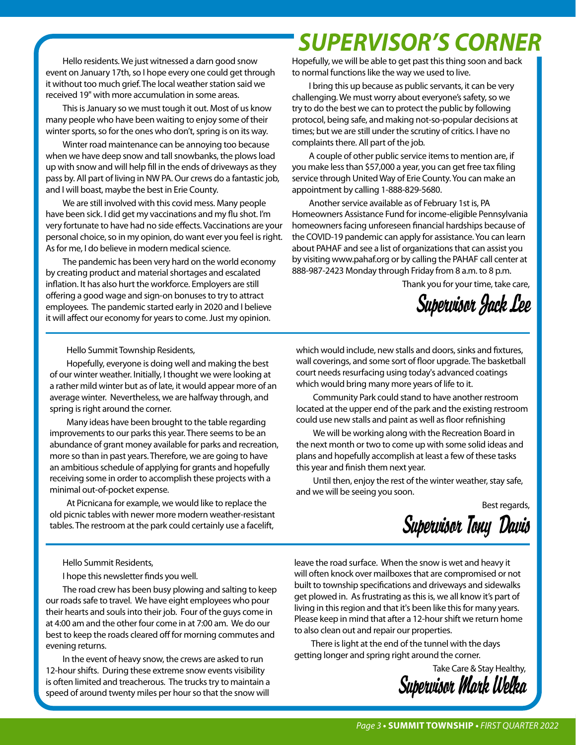Hello residents. We just witnessed a darn good snow event on January 17th, so I hope every one could get through it without too much grief. The local weather station said we received 19" with more accumulation in some areas.

This is January so we must tough it out. Most of us know many people who have been waiting to enjoy some of their winter sports, so for the ones who don't, spring is on its way.

Winter road maintenance can be annoying too because when we have deep snow and tall snowbanks, the plows load up with snow and will help fill in the ends of driveways as they pass by. All part of living in NW PA. Our crews do a fantastic job, and I will boast, maybe the best in Erie County.

We are still involved with this covid mess. Many people have been sick. I did get my vaccinations and my flu shot. I'm very fortunate to have had no side effects. Vaccinations are your personal choice, so in my opinion, do want ever you feel is right. As for me, I do believe in modern medical science.

The pandemic has been very hard on the world economy by creating product and material shortages and escalated inflation. It has also hurt the workforce. Employers are still offering a good wage and sign-on bonuses to try to attract employees. The pandemic started early in 2020 and I believe it will affect our economy for years to come. Just my opinion.

## *SUPERVISOR'S CORNER*

Hopefully, we will be able to get past this thing soon and back to normal functions like the way we used to live.

I bring this up because as public servants, it can be very challenging. We must worry about everyone's safety, so we try to do the best we can to protect the public by following protocol, being safe, and making not-so-popular decisions at times; but we are still under the scrutiny of critics. I have no complaints there. All part of the job.

A couple of other public service items to mention are, if you make less than \$57,000 a year, you can get free tax filing service through United Way of Erie County. You can make an appointment by calling 1-888-829-5680.

Another service available as of February 1st is, PA Homeowners Assistance Fund for income-eligible Pennsylvania homeowners facing unforeseen financial hardships because of the COVID-19 pandemic can apply for assistance. You can learn about PAHAF and see a list of organizations that can assist you by visiting www.pahaf.org or by calling the PAHAF call center at 888-987-2423 Monday through Friday from 8 a.m. to 8 p.m.

Thank you for your time, take care,

*Supervisor Jack Lee*

Hello Summit Township Residents,

Hopefully, everyone is doing well and making the best of our winter weather. Initially, I thought we were looking at a rather mild winter but as of late, it would appear more of an average winter. Nevertheless, we are halfway through, and spring is right around the corner.

Many ideas have been brought to the table regarding improvements to our parks this year. There seems to be an abundance of grant money available for parks and recreation, more so than in past years. Therefore, we are going to have an ambitious schedule of applying for grants and hopefully receiving some in order to accomplish these projects with a minimal out-of-pocket expense.

At Picnicana for example, we would like to replace the old picnic tables with newer more modern weather-resistant tables. The restroom at the park could certainly use a facelift,

which would include, new stalls and doors, sinks and fixtures, wall coverings, and some sort of floor upgrade. The basketball court needs resurfacing using today's advanced coatings which would bring many more years of life to it.

Community Park could stand to have another restroom located at the upper end of the park and the existing restroom could use new stalls and paint as well as floor refinishing

We will be working along with the Recreation Board in the next month or two to come up with some solid ideas and plans and hopefully accomplish at least a few of these tasks this year and finish them next year.

Until then, enjoy the rest of the winter weather, stay safe, and we will be seeing you soon.

Best regards,

*Supervisor Tony Davis* 

Hello Summit Residents,

I hope this newsletter finds you well.

The road crew has been busy plowing and salting to keep our roads safe to travel. We have eight employees who pour their hearts and souls into their job. Four of the guys come in at 4:00 am and the other four come in at 7:00 am. We do our best to keep the roads cleared off for morning commutes and evening returns.

In the event of heavy snow, the crews are asked to run 12-hour shifts. During these extreme snow events visibility is often limited and treacherous. The trucks try to maintain a speed of around twenty miles per hour so that the snow will

leave the road surface. When the snow is wet and heavy it will often knock over mailboxes that are compromised or not built to township specifications and driveways and sidewalks get plowed in. As frustrating as this is, we all know it's part of living in this region and that it's been like this for many years. Please keep in mind that after a 12-hour shift we return home to also clean out and repair our properties.

There is light at the end of the tunnel with the days getting longer and spring right around the corner.

Take Care & Stay Healthy, *Supervisor Mark Welka*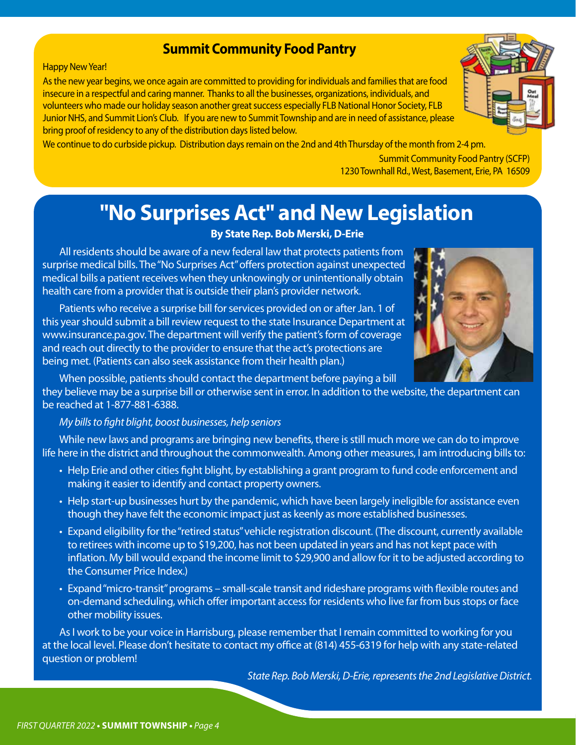#### **Summit Community Food Pantry**

#### Happy New Year!

As the new year begins, we once again are committed to providing for individuals and families that are food insecure in a respectful and caring manner. Thanks to all the businesses, organizations, individuals, and volunteers who made our holiday season another great success especially FLB National Honor Society, FLB Junior NHS, and Summit Lion's Club. If you are new to Summit Township and are in need of assistance, please bring proof of residency to any of the distribution days listed below.

We continue to do curbside pickup. Distribution days remain on the 2nd and 4th Thursday of the month from 2-4 pm.

Summit Community Food Pantry (SCFP) 1230 Townhall Rd., West, Basement, Erie, PA 16509

## **"No Surprises Act" and New Legislation**

#### **By State Rep. Bob Merski, D-Erie**

All residents should be aware of a new federal law that protects patients from surprise medical bills. The "No Surprises Act" offers protection against unexpected medical bills a patient receives when they unknowingly or unintentionally obtain health care from a provider that is outside their plan's provider network.

Patients who receive a surprise bill for services provided on or after Jan. 1 of this year should submit a bill review request to the state Insurance Department at www.insurance.pa.gov. The department will verify the patient's form of coverage and reach out directly to the provider to ensure that the act's protections are being met. (Patients can also seek assistance from their health plan.)

When possible, patients should contact the department before paying a bill

they believe may be a surprise bill or otherwise sent in error. In addition to the website, the department can be reached at 1-877-881-6388.

#### *My bills to fight blight, boost businesses, help seniors*

While new laws and programs are bringing new benefits, there is still much more we can do to improve life here in the district and throughout the commonwealth. Among other measures, I am introducing bills to:

- Help Erie and other cities fight blight, by establishing a grant program to fund code enforcement and making it easier to identify and contact property owners.
- Help start-up businesses hurt by the pandemic, which have been largely ineligible for assistance even though they have felt the economic impact just as keenly as more established businesses.
- Expand eligibility for the "retired status" vehicle registration discount. (The discount, currently available to retirees with income up to \$19,200, has not been updated in years and has not kept pace with inflation. My bill would expand the income limit to \$29,900 and allow for it to be adjusted according to the Consumer Price Index.)
- Expand "micro-transit" programs small-scale transit and rideshare programs with flexible routes and on-demand scheduling, which offer important access for residents who live far from bus stops or face other mobility issues.

As I work to be your voice in Harrisburg, please remember that I remain committed to working for you at the local level. Please don't hesitate to contact my office at (814) 455-6319 for help with any state-related question or problem!

*State Rep. Bob Merski, D-Erie, represents the 2nd Legislative District.*

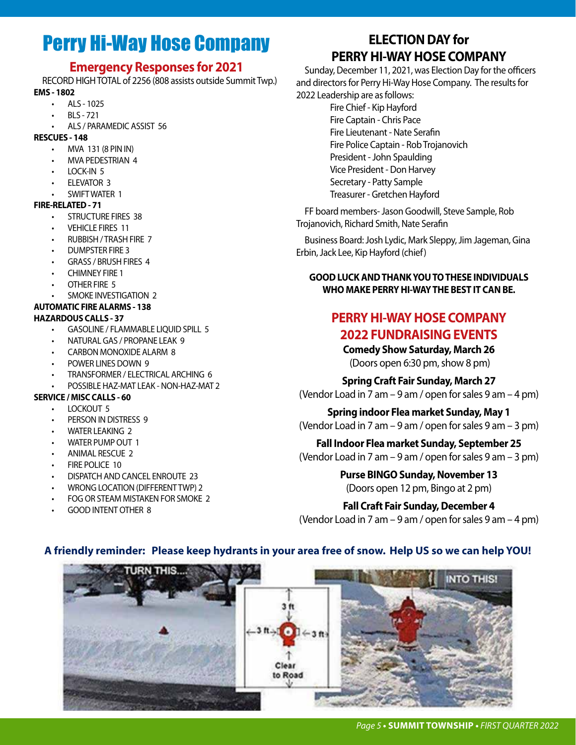## Perry Hi-Way Hose Company

#### **Emergency Responses for 2021**

RECORD HIGH TOTAL of 2256 (808 assists outside Summit Twp.) **EMS - 1802**

- ALS 1025
- BLS 721
- ALS / PARAMEDIC ASSIST 56

#### **RESCUES - 148**

- MVA 131 (8 PIN IN)
- MVA PEDESTRIAN 4
- LOCK-IN 5
- ELEVATOR 3
- SWIFT WATER 1

#### **FIRE-RELATED - 71**

- STRUCTURE FIRES 38
- VEHICLE FIRES 11
- RUBBISH / TRASH FIRE 7
- DUMPSTER FIRE 3
- GRASS / BRUSH FIRES 4
- CHIMNEY FIRE 1
- OTHER FIRE 5
- SMOKE INVESTIGATION 2
- **AUTOMATIC FIRE ALARMS 138**

#### **HAZARDOUS CALLS - 37**

- GASOLINE / FLAMMABLE LIQUID SPILL 5
- NATURAL GAS / PROPANE LEAK 9
- CARBON MONOXIDE ALARM 8
- POWER LINES DOWN 9
- TRANSFORMER / ELECTRICAL ARCHING 6
- POSSIBLE HAZ-MAT LEAK NON-HAZ-MAT 2

#### **SERVICE / MISC CALLS - 60**

- LOCKOUT 5
- PERSON IN DISTRESS 9
- WATER LEAKING 2
- WATER PUMP OUT 1
- ANIMAL RESCUE 2
- **FIRE POLICE 10**
- DISPATCH AND CANCEL ENROUTE 23
- WRONG LOCATION (DIFFERENT TWP) 2
- FOG OR STEAM MISTAKEN FOR SMOKE 2
- GOOD INTENT OTHER 8

## **ELECTION DAY for PERRY HI-WAY HOSE COMPANY**

Sunday, December 11, 2021, was Election Day for the officers and directors for Perry Hi-Way Hose Company. The results for 2022 Leadership are as follows:

> Fire Chief - Kip Hayford Fire Captain - Chris Pace Fire Lieutenant - Nate Serafin Fire Police Captain - Rob Trojanovich President - John Spaulding Vice President - Don Harvey Secretary - Patty Sample Treasurer - Gretchen Hayford

FF board members- Jason Goodwill, Steve Sample, Rob Trojanovich, Richard Smith, Nate Serafin

Business Board: Josh Lydic, Mark Sleppy, Jim Jageman, Gina Erbin, Jack Lee, Kip Hayford (chief)

#### **GOOD LUCK AND THANK YOU TO THESE INDIVIDUALS WHO MAKE PERRY HI-WAY THE BEST IT CAN BE.**

#### **PERRY HI-WAY HOSE COMPANY 2022 FUNDRAISING EVENTS**

**Comedy Show Saturday, March 26**  (Doors open 6:30 pm, show 8 pm)

**Spring Craft Fair Sunday, March 27** (Vendor Load in 7 am – 9 am / open for sales 9 am – 4 pm)

**Spring indoor Flea market Sunday, May 1** (Vendor Load in 7 am – 9 am / open for sales 9 am – 3 pm)

**Fall Indoor Flea market Sunday, September 25** (Vendor Load in 7 am – 9 am / open for sales 9 am – 3 pm)

> **Purse BINGO Sunday, November 13** (Doors open 12 pm, Bingo at 2 pm)

**Fall Craft Fair Sunday, December 4** (Vendor Load in 7 am – 9 am / open for sales 9 am – 4 pm)



#### **A friendly reminder: Please keep hydrants in your area free of snow. Help US so we can help YOU!**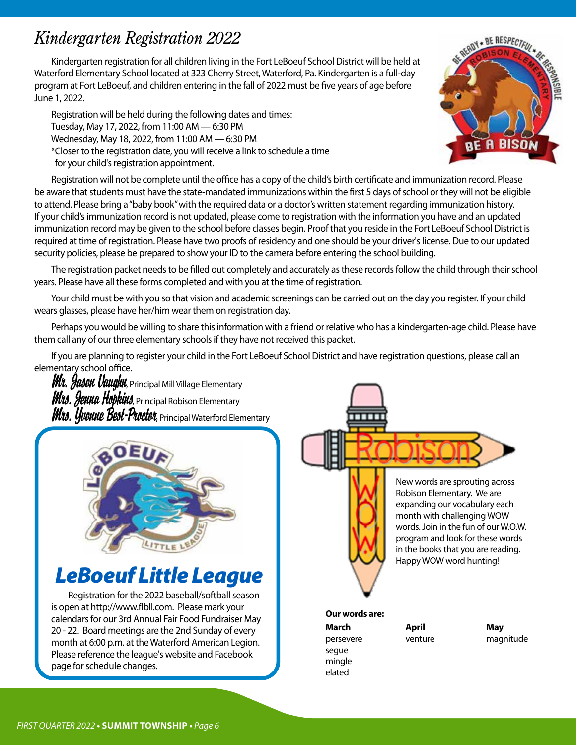## *Kindergarten Registration 2022*

Kindergarten registration for all children living in the Fort LeBoeuf School District will be held at Waterford Elementary School located at 323 Cherry Street, Waterford, Pa. Kindergarten is a full-day program at Fort LeBoeuf, and children entering in the fall of 2022 must be five years of age before June 1, 2022.

Registration will be held during the following dates and times: Tuesday, May 17, 2022, from 11:00 AM — 6:30 PM Wednesday, May 18, 2022, from 11:00 AM — 6:30 PM \*Closer to the registration date, you will receive a link to schedule a time for your child's registration appointment.

Registration will not be complete until the office has a copy of the child's birth certificate and immunization record. Please be aware that students must have the state-mandated immunizations within the first 5 days of school or they will not be eligible to attend. Please bring a "baby book" with the required data or a doctor's written statement regarding immunization history. If your child's immunization record is not updated, please come to registration with the information you have and an updated immunization record may be given to the school before classes begin. Proof that you reside in the Fort LeBoeuf School District is required at time of registration. Please have two proofs of residency and one should be your driver's license. Due to our updated security policies, please be prepared to show your ID to the camera before entering the school building.

The registration packet needs to be filled out completely and accurately as these records follow the child through their school years. Please have all these forms completed and with you at the time of registration.

Your child must be with you so that vision and academic screenings can be carried out on the day you register. If your child wears glasses, please have her/him wear them on registration day.

Perhaps you would be willing to share this information with a friend or relative who has a kindergarten-age child. Please have them call any of our three elementary schools if they have not received this packet.

If you are planning to register your child in the Fort LeBoeuf School District and have registration questions, please call an elementary school office.

*Mr. Jason Vaughn*, Principal Mill Village Elementary *Mrs. Jenna Hopkins*, Principal Robison Elementary *Mrs. Uvouue Best-Proctor*, Principal Waterford Elementary



## *LeBoeuf Little League*

Registration for the 2022 baseball/softball season is open at http://www.flbll.com. Please mark your calendars for our 3rd Annual Fair Food Fundraiser May 20 - 22. Board meetings are the 2nd Sunday of every month at 6:00 p.m. at the Waterford American Legion. Please reference the league's website and Facebook page for schedule changes.

New words are sprouting across Robison Elementary. We are expanding our vocabulary each month with challenging WOW words. Join in the fun of our W.O.W. program and look for these words in the books that you are reading. Happy WOW word hunting!

**Our words are: March April May**

segue mingle elated

persevere venture magnitude

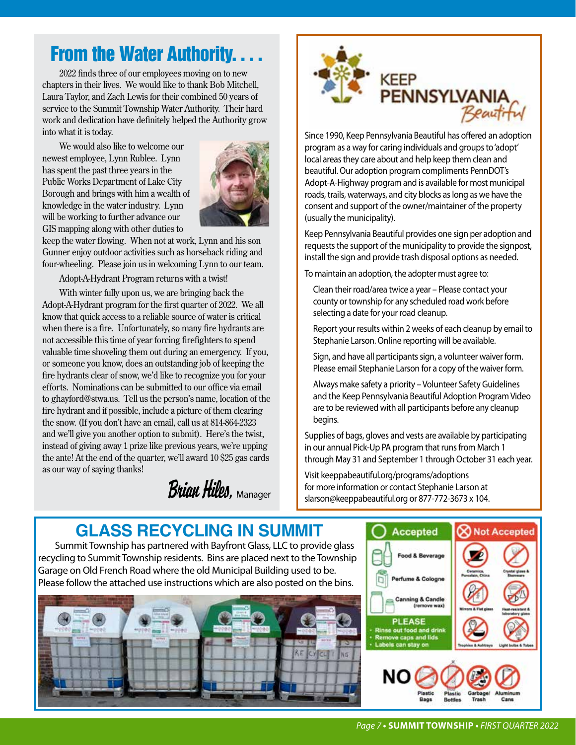## **From the Water Authority.**

2022 finds three of our employees moving on to new chapters in their lives. We would like to thank Bob Mitchell, Laura Taylor, and Zach Lewis for their combined 50 years of service to the Summit Township Water Authority. Their hard work and dedication have definitely helped the Authority grow into what it is today.

We would also like to welcome our newest employee, Lynn Rublee. Lynn has spent the past three years in the Public Works Department of Lake City Borough and brings with him a wealth of knowledge in the water industry. Lynn will be working to further advance our GIS mapping along with other duties to



keep the water flowing. When not at work, Lynn and his son Gunner enjoy outdoor activities such as horseback riding and four-wheeling. Please join us in welcoming Lynn to our team.

Adopt-A-Hydrant Program returns with a twist!

With winter fully upon us, we are bringing back the Adopt-A-Hydrant program for the first quarter of 2022. We all know that quick access to a reliable source of water is critical when there is a fire. Unfortunately, so many fire hydrants are not accessible this time of year forcing firefighters to spend valuable time shoveling them out during an emergency. If you, or someone you know, does an outstanding job of keeping the fire hydrants clear of snow, we'd like to recognize you for your efforts. Nominations can be submitted to our office via email to ghayford@stwa.us. Tell us the person's name, location of the fire hydrant and if possible, include a picture of them clearing the snow. (If you don't have an email, call us at 814-864-2323 and we'll give you another option to submit). Here's the twist, instead of giving away 1 prize like previous years, we're upping the ante! At the end of the quarter, we'll award 10 \$25 gas cards as our way of saying thanks!

*Brian Hiles,* Manager



program as a way for caring individuals and groups to 'adopt' local areas they care about and help keep them clean and beautiful. Our adoption program compliments PennDOT's Adopt-A-Highway program and is available for most municipal roads, trails, waterways, and city blocks as long as we have the consent and support of the owner/maintainer of the property (usually the municipality).

Keep Pennsylvania Beautiful provides one sign per adoption and requests the support of the municipality to provide the signpost, install the sign and provide trash disposal options as needed.

To maintain an adoption, the adopter must agree to:

Clean their road/area twice a year – Please contact your county or township for any scheduled road work before selecting a date for your road cleanup.

Report your results within 2 weeks of each cleanup by email to Stephanie Larson. Online reporting will be available.

Sign, and have all participants sign, a volunteer waiver form. Please email Stephanie Larson for a copy of the waiver form.

Always make safety a priority – Volunteer Safety Guidelines and the Keep Pennsylvania Beautiful Adoption Program Video are to be reviewed with all participants before any cleanup begins.

Supplies of bags, gloves and vests are available by participating in our annual Pick-Up PA program that runs from March 1 through May 31 and September 1 through October 31 each year.

Visit keeppabeautiful.org/programs/adoptions for more information or contact Stephanie Larson at slarson@keeppabeautiful.org or 877-772-3673 x 104.

## **GLASS RECYCLING IN SUMMIT**

Summit Township has partnered with Bayfront Glass, LLC to provide glass recycling to Summit Township residents. Bins are placed next to the Township Garage on Old French Road where the old Municipal Building used to be. Please follow the attached use instructions which are also posted on the bins.



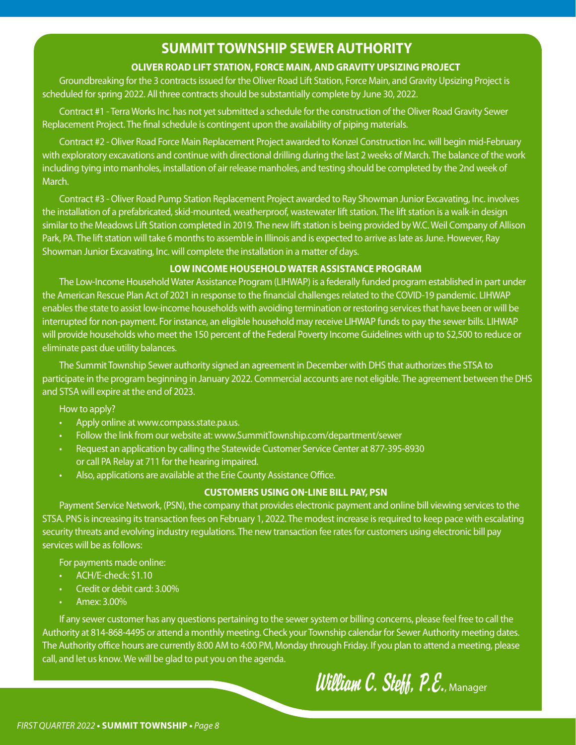## **SUMMIT TOWNSHIP SEWER AUTHORITY**

#### **OLIVER ROAD LIFT STATION, FORCE MAIN, AND GRAVITY UPSIZING PROJECT**

Groundbreaking for the 3 contracts issued for the Oliver Road Lift Station, Force Main, and Gravity Upsizing Project is scheduled for spring 2022. All three contracts should be substantially complete by June 30, 2022.

Contract #1 - Terra Works Inc. has not yet submitted a schedule for the construction of the Oliver Road Gravity Sewer Replacement Project. The final schedule is contingent upon the availability of piping materials.

Contract #2 - Oliver Road Force Main Replacement Project awarded to Konzel Construction Inc. will begin mid-February with exploratory excavations and continue with directional drilling during the last 2 weeks of March. The balance of the work including tying into manholes, installation of air release manholes, and testing should be completed by the 2nd week of March.

Contract #3 - Oliver Road Pump Station Replacement Project awarded to Ray Showman Junior Excavating, Inc. involves the installation of a prefabricated, skid-mounted, weatherproof, wastewater lift station. The lift station is a walk-in design similar to the Meadows Lift Station completed in 2019. The new lift station is being provided by W.C. Weil Company of Allison Park, PA. The lift station will take 6 months to assemble in Illinois and is expected to arrive as late as June. However, Ray Showman Junior Excavating, Inc. will complete the installation in a matter of days.

#### **LOW INCOME HOUSEHOLD WATER ASSISTANCE PROGRAM**

The Low-Income Household Water Assistance Program (LIHWAP) is a federally funded program established in part under the American Rescue Plan Act of 2021 in response to the financial challenges related to the COVID-19 pandemic. LIHWAP enables the state to assist low-income households with avoiding termination or restoring services that have been or will be interrupted for non-payment. For instance, an eligible household may receive LIHWAP funds to pay the sewer bills. LIHWAP will provide households who meet the 150 percent of the Federal Poverty Income Guidelines with up to \$2,500 to reduce or eliminate past due utility balances.

The Summit Township Sewer authority signed an agreement in December with DHS that authorizes the STSA to participate in the program beginning in January 2022. Commercial accounts are not eligible. The agreement between the DHS and STSA will expire at the end of 2023.

How to apply?

- Apply online at www.compass.state.pa.us.
- Follow the link from our website at: www.SummitTownship.com/department/sewer
- Request an application by calling the Statewide Customer Service Center at 877-395-8930 or call PA Relay at 711 for the hearing impaired.
- Also, applications are available at the Erie County Assistance Office.

#### **CUSTOMERS USING ON-LINE BILL PAY, PSN**

Payment Service Network, (PSN), the company that provides electronic payment and online bill viewing services to the STSA. PNS is increasing its transaction fees on February 1, 2022. The modest increase is required to keep pace with escalating security threats and evolving industry regulations. The new transaction fee rates for customers using electronic bill pay services will be as follows:

For payments made online:

- ACH/E-check: \$1.10
- Credit or debit card: 3.00%
- Amex: 3.00%

l,

If any sewer customer has any questions pertaining to the sewer system or billing concerns, please feel free to call the Authority at 814-868-4495 or attend a monthly meeting. Check your Township calendar for Sewer Authority meeting dates. The Authority office hours are currently 8:00 AM to 4:00 PM, Monday through Friday. If you plan to attend a meeting, please call, and let us know. We will be glad to put you on the agenda.

## *William C. Steff, P.E.*, Manager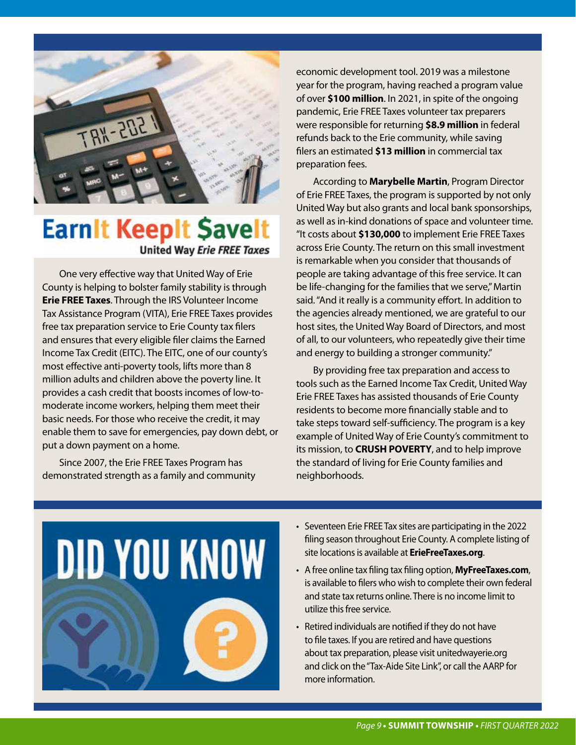

## **Earnit Keepit Savelt United Way Erie FREE Taxes**

One very effective way that United Way of Erie County is helping to bolster family stability is through **Erie FREE Taxes**. Through the IRS Volunteer Income Tax Assistance Program (VITA), Erie FREE Taxes provides free tax preparation service to Erie County tax filers and ensures that every eligible filer claims the Earned Income Tax Credit (EITC). The EITC, one of our county's most effective anti-poverty tools, lifts more than 8 million adults and children above the poverty line. It provides a cash credit that boosts incomes of low-tomoderate income workers, helping them meet their basic needs. For those who receive the credit, it may enable them to save for emergencies, pay down debt, or put a down payment on a home.

Since 2007, the Erie FREE Taxes Program has demonstrated strength as a family and community economic development tool. 2019 was a milestone year for the program, having reached a program value of over **\$100 million**. In 2021, in spite of the ongoing pandemic, Erie FREE Taxes volunteer tax preparers were responsible for returning **\$8.9 million** in federal refunds back to the Erie community, while saving filers an estimated **\$13 million** in commercial tax preparation fees.

According to **Marybelle Martin**, Program Director of Erie FREE Taxes, the program is supported by not only United Way but also grants and local bank sponsorships, as well as in-kind donations of space and volunteer time. "It costs about **\$130,000** to implement Erie FREE Taxes across Erie County. The return on this small investment is remarkable when you consider that thousands of people are taking advantage of this free service. It can be life-changing for the families that we serve," Martin said. "And it really is a community effort. In addition to the agencies already mentioned, we are grateful to our host sites, the United Way Board of Directors, and most of all, to our volunteers, who repeatedly give their time and energy to building a stronger community."

By providing free tax preparation and access to tools such as the Earned Income Tax Credit, United Way Erie FREE Taxes has assisted thousands of Erie County residents to become more financially stable and to take steps toward self-sufficiency. The program is a key example of United Way of Erie County's commitment to its mission, to **CRUSH POVERTY**, and to help improve the standard of living for Erie County families and neighborhoods.



- Seventeen Erie FREE Tax sites are participating in the 2022 filing season throughout Erie County. A complete listing of site locations is available at **ErieFreeTaxes.org**.
- A free online tax filing tax filing option, **MyFreeTaxes.com**, is available to filers who wish to complete their own federal and state tax returns online. There is no income limit to utilize this free service.
- Retired individuals are notified if they do not have to file taxes. If you are retired and have questions about tax preparation, please visit unitedwayerie.org and click on the "Tax-Aide Site Link", or call the AARP for more information.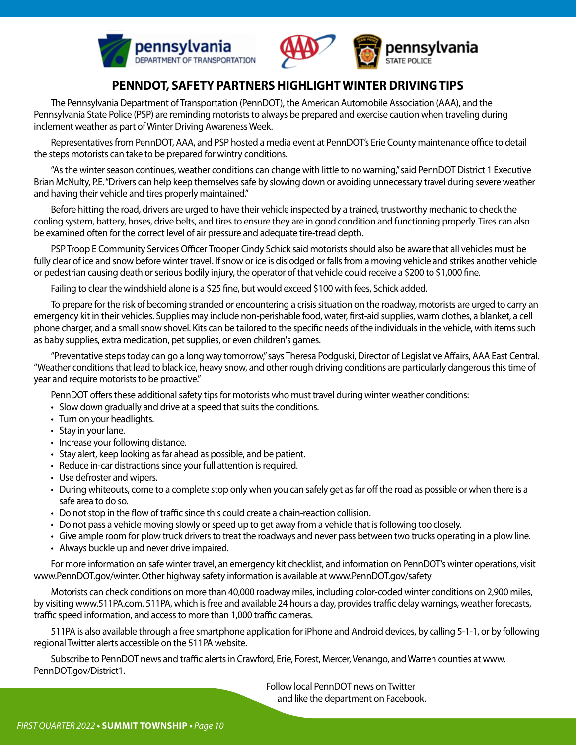



#### **PENNDOT, SAFETY PARTNERS HIGHLIGHT WINTER DRIVING TIPS**

The Pennsylvania Department of Transportation (PennDOT), the American Automobile Association (AAA), and the Pennsylvania State Police (PSP) are reminding motorists to always be prepared and exercise caution when traveling during inclement weather as part of Winter Driving Awareness Week.

Representatives from PennDOT, AAA, and PSP hosted a media event at PennDOT's Erie County maintenance office to detail the steps motorists can take to be prepared for wintry conditions.

"As the winter season continues, weather conditions can change with little to no warning," said PennDOT District 1 Executive Brian McNulty, P.E. "Drivers can help keep themselves safe by slowing down or avoiding unnecessary travel during severe weather and having their vehicle and tires properly maintained."

Before hitting the road, drivers are urged to have their vehicle inspected by a trained, trustworthy mechanic to check the cooling system, battery, hoses, drive belts, and tires to ensure they are in good condition and functioning properly. Tires can also be examined often for the correct level of air pressure and adequate tire-tread depth.

PSP Troop E Community Services Officer Trooper Cindy Schick said motorists should also be aware that all vehicles must be fully clear of ice and snow before winter travel. If snow or ice is dislodged or falls from a moving vehicle and strikes another vehicle or pedestrian causing death or serious bodily injury, the operator of that vehicle could receive a \$200 to \$1,000 fine.

Failing to clear the windshield alone is a \$25 fine, but would exceed \$100 with fees, Schick added.

To prepare for the risk of becoming stranded or encountering a crisis situation on the roadway, motorists are urged to carry an emergency kit in their vehicles. Supplies may include non-perishable food, water, first-aid supplies, warm clothes, a blanket, a cell phone charger, and a small snow shovel. Kits can be tailored to the specific needs of the individuals in the vehicle, with items such as baby supplies, extra medication, pet supplies, or even children's games.

"Preventative steps today can go a long way tomorrow," says Theresa Podguski, Director of Legislative Affairs, AAA East Central. "Weather conditions that lead to black ice, heavy snow, and other rough driving conditions are particularly dangerous this time of year and require motorists to be proactive."

PennDOT offers these additional safety tips for motorists who must travel during winter weather conditions:

- Slow down gradually and drive at a speed that suits the conditions.
- Turn on your headlights.
- Stay in your lane.
- Increase your following distance.
- Stay alert, keep looking as far ahead as possible, and be patient.
- Reduce in-car distractions since your full attention is required.
- Use defroster and wipers.
- During whiteouts, come to a complete stop only when you can safely get as far off the road as possible or when there is a safe area to do so.
- Do not stop in the flow of traffic since this could create a chain-reaction collision.
- Do not pass a vehicle moving slowly or speed up to get away from a vehicle that is following too closely.
- Give ample room for plow truck drivers to treat the roadways and never pass between two trucks operating in a plow line.
- Always buckle up and never drive impaired.

For more information on safe winter travel, an emergency kit checklist, and information on PennDOT's winter operations, visit www.PennDOT.gov/winter. Other highway safety information is available at www.PennDOT.gov/safety.

Motorists can check conditions on more than 40,000 roadway miles, including color-coded winter conditions on 2,900 miles, by visiting www.511PA.com. 511PA, which is free and available 24 hours a day, provides traffic delay warnings, weather forecasts, traffic speed information, and access to more than 1,000 traffic cameras.

511PA is also available through a free smartphone application for iPhone and Android devices, by calling 5-1-1, or by following regional Twitter alerts accessible on the 511PA website.

Subscribe to PennDOT news and traffic alerts in Crawford, Erie, Forest, Mercer, Venango, and Warren counties at www. PennDOT.gov/District1.

> Follow local PennDOT news on Twitter and like the department on Facebook.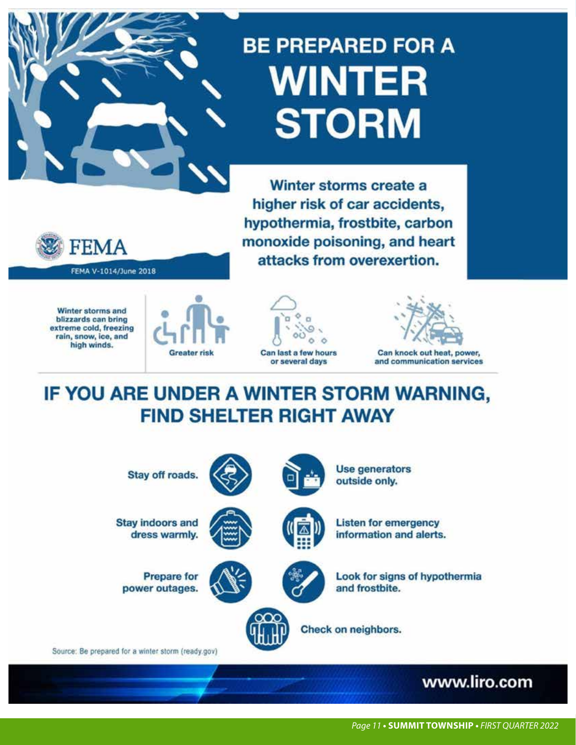# **BE PREPARED FOR A WINTER STORM**

Winter storms create a higher risk of car accidents, hypothermia, frostbite, carbon monoxide poisoning, and heart attacks from overexertion.



Winter storms and blizzards can bring extreme cold, freezing rain, snow, ice, and high winds.







Can knock out heat, power, and communication services

IF YOU ARE UNDER A WINTER STORM WARNING, **FIND SHELTER RIGHT AWAY** 

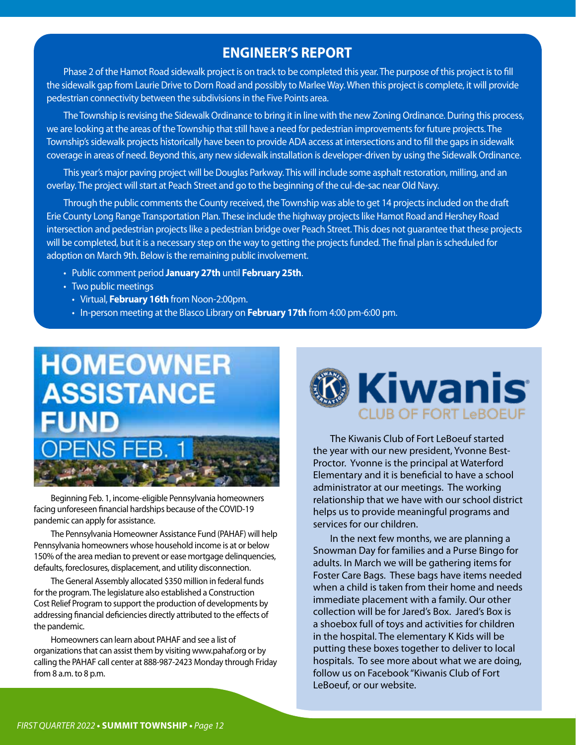#### **ENGINEER'S REPORT**

Phase 2 of the Hamot Road sidewalk project is on track to be completed this year. The purpose of this project is to fill the sidewalk gap from Laurie Drive to Dorn Road and possibly to Marlee Way. When this project is complete, it will provide pedestrian connectivity between the subdivisions in the Five Points area.

The Township is revising the Sidewalk Ordinance to bring it in line with the new Zoning Ordinance. During this process, we are looking at the areas of the Township that still have a need for pedestrian improvements for future projects. The Township's sidewalk projects historically have been to provide ADA access at intersections and to fill the gaps in sidewalk coverage in areas of need. Beyond this, any new sidewalk installation is developer-driven by using the Sidewalk Ordinance.

This year's major paving project will be Douglas Parkway. This will include some asphalt restoration, milling, and an overlay. The project will start at Peach Street and go to the beginning of the cul-de-sac near Old Navy.

Through the public comments the County received, the Township was able to get 14 projects included on the draft Erie County Long Range Transportation Plan. These include the highway projects like Hamot Road and Hershey Road intersection and pedestrian projects like a pedestrian bridge over Peach Street. This does not guarantee that these projects will be completed, but it is a necessary step on the way to getting the projects funded. The final plan is scheduled for adoption on March 9th. Below is the remaining public involvement.

- Public comment period **January 27th** until **February 25th**.
- Two public meetings
	- Virtual, **February 16th** from Noon-2:00pm.
	- In-person meeting at the Blasco Library on **February 17th** from 4:00 pm-6:00 pm.



Beginning Feb. 1, income-eligible Pennsylvania homeowners facing unforeseen financial hardships because of the COVID-19 pandemic can apply for assistance.

The Pennsylvania Homeowner Assistance Fund (PAHAF) will help Pennsylvania homeowners whose household income is at or below 150% of the area median to prevent or ease mortgage delinquencies, defaults, foreclosures, displacement, and utility disconnection.

The General Assembly allocated \$350 million in federal funds for the program. The legislature also established a Construction Cost Relief Program to support the production of developments by addressing financial deficiencies directly attributed to the effects of the pandemic.

Homeowners can learn about PAHAF and see a list of organizations that can assist them by visiting www.pahaf.org or by calling the PAHAF call center at 888-987-2423 Monday through Friday from 8 a.m. to 8 p.m.



The Kiwanis Club of Fort LeBoeuf started the year with our new president, Yvonne Best-Proctor. Yvonne is the principal at Waterford Elementary and it is beneficial to have a school administrator at our meetings. The working relationship that we have with our school district helps us to provide meaningful programs and services for our children.

In the next few months, we are planning a Snowman Day for families and a Purse Bingo for adults. In March we will be gathering items for Foster Care Bags. These bags have items needed when a child is taken from their home and needs immediate placement with a family. Our other collection will be for Jared's Box. Jared's Box is a shoebox full of toys and activities for children in the hospital. The elementary K Kids will be putting these boxes together to deliver to local hospitals. To see more about what we are doing, follow us on Facebook "Kiwanis Club of Fort LeBoeuf, or our website.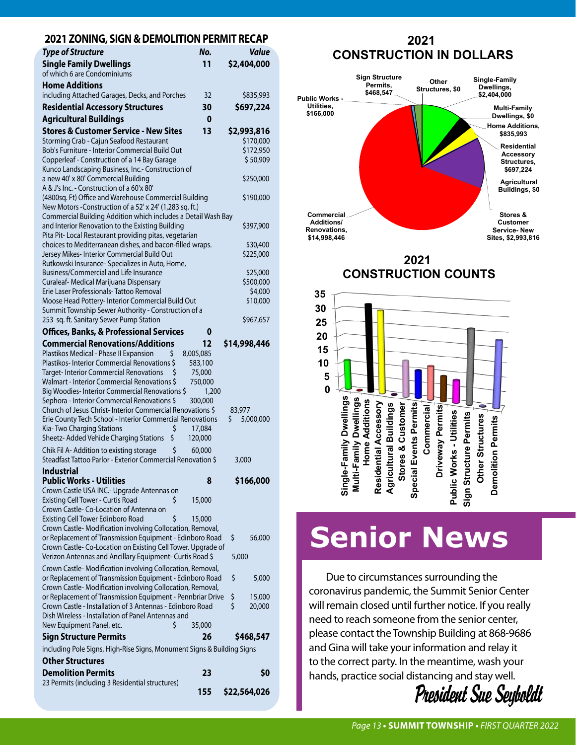#### **2021 ZONING, SIGN & DEMOLITION PERMIT RECAP**

| Type of Structure                                                                                                     | No.              | <b>Value</b>          |
|-----------------------------------------------------------------------------------------------------------------------|------------------|-----------------------|
| <b>Single Family Dwellings</b><br>of which 6 are Condominiums                                                         | 11               | \$2,404,000           |
| <b>Home Additions</b><br>including Attached Garages, Decks, and Porches                                               | 32               | \$835,993             |
| <b>Residential Accessory Structures</b>                                                                               | 30               | \$697,224             |
| <b>Agricultural Buildings</b>                                                                                         | 0                |                       |
| <b>Stores &amp; Customer Service - New Sites</b>                                                                      | 13               | \$2,993,816           |
| Storming Crab - Cajun Seafood Restaurant                                                                              |                  | \$170,000             |
| Bob's Furniture - Interior Commercial Build Out<br>Copperleaf - Construction of a 14 Bay Garage                       |                  | \$172,950<br>\$50,909 |
| Kunco Landscaping Business, Inc.- Construction of                                                                     |                  |                       |
| a new 40' x 80' Commercial Building                                                                                   |                  | \$250,000             |
| A & J's Inc. - Construction of a 60'x 80'<br>(4800sq. Ft) Office and Warehouse Commercial Building                    |                  | \$190,000             |
| New Motors - Construction of a 52' x 24' (1,283 sq. ft.)                                                              |                  |                       |
| Commercial Building Addition which includes a Detail Wash Bay                                                         |                  |                       |
| and Interior Renovation to the Existing Building                                                                      |                  | \$397,900             |
| Pita Pit-Local Restaurant providing pitas, vegetarian<br>choices to Mediterranean dishes, and bacon-filled wraps.     |                  | \$30,400              |
| Jersey Mikes- Interior Commercial Build Out                                                                           |                  | \$225,000             |
| Rutkowski Insurance- Specializes in Auto, Home,                                                                       |                  |                       |
| Business/Commercial and Life Insurance<br>Curaleaf- Medical Marijuana Dispensary                                      |                  | \$25,000<br>\$500,000 |
| Frie Laser Professionals-Tattoo Removal                                                                               |                  | \$4,000               |
| Moose Head Pottery- Interior Commercial Build Out                                                                     |                  | \$10,000              |
| Summit Township Sewer Authority - Construction of a<br>253 sq. ft. Sanitary Sewer Pump Station                        |                  | \$967,657             |
| <b>Offices, Banks, &amp; Professional Services</b>                                                                    | 0                |                       |
| <b>Commercial Renovations/Additions</b>                                                                               | 12               | \$14,998,446          |
| Plastikos Medical - Phase II Expansion<br>Ś                                                                           | 8,005,085        |                       |
| Plastikos-Interior Commercial Renovations \$                                                                          | 583,100          |                       |
| <b>Target-Interior Commercial Renovations</b><br>Walmart - Interior Commercial Renovations \$                         | 75,000           |                       |
| Big Woodies-Interior Commercial Renovations \$                                                                        | 750,000<br>1,200 |                       |
| Sephora - Interior Commercial Renovations \$                                                                          | 300,000          |                       |
| Church of Jesus Christ-Interior Commercial Renovations \$                                                             |                  | 83,977                |
| Erie County Tech School - Interior Commercial Renovations<br>Kia-Two Charging Stations<br>\$                          | 17,084           | \$<br>5,000,000       |
| Sheetz- Added Vehicle Charging Stations<br>\$                                                                         | 120,000          |                       |
| Chik Fil A- Addition to existing storage<br>\$                                                                        | 60,000           |                       |
| Steadfast Tattoo Parlor - Exterior Commercial Renovation \$                                                           |                  | 3,000                 |
| <b>Industrial</b><br><b>Public Works - Utilities</b>                                                                  | 8                | \$166,000             |
| Crown Castle USA INC.- Upgrade Antennas on                                                                            |                  |                       |
| <b>Existing Cell Tower - Curtis Road</b><br>\$                                                                        | 15,000           |                       |
| Crown Castle- Co-Location of Antenna on                                                                               |                  |                       |
| \$<br>Existing Cell Tower Edinboro Road<br>Crown Castle-Modification involving Collocation, Removal,                  | 15,000           |                       |
| or Replacement of Transmission Equipment - Edinboro Road                                                              |                  | \$<br>56,000          |
| Crown Castle-Co-Location on Existing Cell Tower. Upgrade of                                                           |                  |                       |
| Verizon Antennas and Ancillary Equipment- Curtis Road \$                                                              |                  | 5,000                 |
| Crown Castle-Modification involving Collocation, Removal,<br>or Replacement of Transmission Equipment - Edinboro Road |                  | \$<br>5,000           |
| Crown Castle-Modification involving Collocation, Removal,                                                             |                  |                       |
| or Replacement of Transmission Equipment - Pennbriar Drive                                                            |                  | \$<br>15,000          |
| Crown Castle - Installation of 3 Antennas - Edinboro Road<br>Dish Wireless - Installation of Panel Antennas and       |                  | \$<br>20,000          |
| \$<br>New Equipment Panel, etc.                                                                                       | 35,000           |                       |
| <b>Sign Structure Permits</b>                                                                                         | 26               | \$468,547             |
| including Pole Signs, High-Rise Signs, Monument Signs & Building Signs                                                |                  |                       |
| <b>Other Structures</b>                                                                                               |                  |                       |
| <b>Demolition Permits</b>                                                                                             | 23               | \$0                   |
| 23 Permits (including 3 Residential structures)                                                                       |                  |                       |
|                                                                                                                       | 155              | \$22,564,026          |

#### **2021 CONSTRUCTION IN DOLLARS**



**2021 CONSTRUCTION COUNTS**



# **Senior News**

Due to circumstances surrounding the coronavirus pandemic, the Summit Senior Center will remain closed until further notice. If you really need to reach someone from the senior center, please contact the Township Building at 868-9686 and Gina will take your information and relay it to the correct party. In the meantime, wash your hands, practice social distancing and stay well.

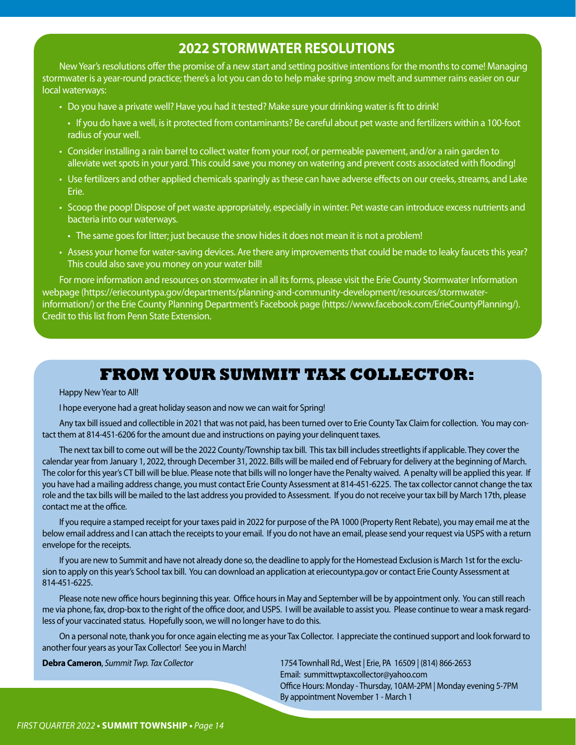## **2022 STORMWATER RESOLUTIONS**

New Year's resolutions offer the promise of a new start and setting positive intentions for the months to come! Managing stormwater is a year-round practice; there's a lot you can do to help make spring snow melt and summer rains easier on our local waterways:

- Do you have a private well? Have you had it tested? Make sure your drinking water is fit to drink!
- If you do have a well, is it protected from contaminants? Be careful about pet waste and fertilizers within a 100-foot radius of your well.
- Consider installing a rain barrel to collect water from your roof, or permeable pavement, and/or a rain garden to alleviate wet spots in your yard. This could save you money on watering and prevent costs associated with flooding!
- Use fertilizers and other applied chemicals sparingly as these can have adverse effects on our creeks, streams, and Lake Erie.
- Scoop the poop! Dispose of pet waste appropriately, especially in winter. Pet waste can introduce excess nutrients and bacteria into our waterways.
	- The same goes for litter; just because the snow hides it does not mean it is not a problem!
- Assess your home for water-saving devices. Are there any improvements that could be made to leaky faucets this year? This could also save you money on your water bill!

For more information and resources on stormwater in all its forms, please visit the Erie County Stormwater Information webpage (https://eriecountypa.gov/departments/planning-and-community-development/resources/stormwaterinformation/) or the Erie County Planning Department's Facebook page (https://www.facebook.com/ErieCountyPlanning/). Credit to this list from Penn State Extension.

## **FROM YOUR SUMMIT TAX COLLECTOR:**

#### Happy New Year to All!

I hope everyone had a great holiday season and now we can wait for Spring!

Any tax bill issued and collectible in 2021 that was not paid, has been turned over to Erie County Tax Claim for collection. You may contact them at 814-451-6206 for the amount due and instructions on paying your delinquent taxes.

The next tax bill to come out will be the 2022 County/Township tax bill. This tax bill includes streetlights if applicable. They cover the calendar year from January 1, 2022, through December 31, 2022. Bills will be mailed end of February for delivery at the beginning of March. The color for this year's CT bill will be blue. Please note that bills will no longer have the Penalty waived. A penalty will be applied this year. If you have had a mailing address change, you must contact Erie County Assessment at 814-451-6225. The tax collector cannot change the tax role and the tax bills will be mailed to the last address you provided to Assessment. If you do not receive your tax bill by March 17th, please contact me at the office.

If you require a stamped receipt for your taxes paid in 2022 for purpose of the PA 1000 (Property Rent Rebate), you may email me at the below email address and I can attach the receipts to your email. If you do not have an email, please send your request via USPS with a return envelope for the receipts.

If you are new to Summit and have not already done so, the deadline to apply for the Homestead Exclusion is March 1st for the exclusion to apply on this year's School tax bill. You can download an application at eriecountypa.gov or contact Erie County Assessment at 814-451-6225.

Please note new office hours beginning this year. Office hours in May and September will be by appointment only. You can still reach me via phone, fax, drop-box to the right of the office door, and USPS. I will be available to assist you. Please continue to wear a mask regardless of your vaccinated status. Hopefully soon, we will no longer have to do this.

On a personal note, thank you for once again electing me as your Tax Collector. I appreciate the continued support and look forward to another four years as your Tax Collector! See you in March!

**Debra Cameron**, *Summit Twp. Tax Collector* 1754 Townhall Rd., West | Erie, PA 16509 | (814) 866-2653 Email: summittwptaxcollector@yahoo.com Office Hours: Monday - Thursday, 10AM-2PM | Monday evening 5-7PM By appointment November 1 - March 1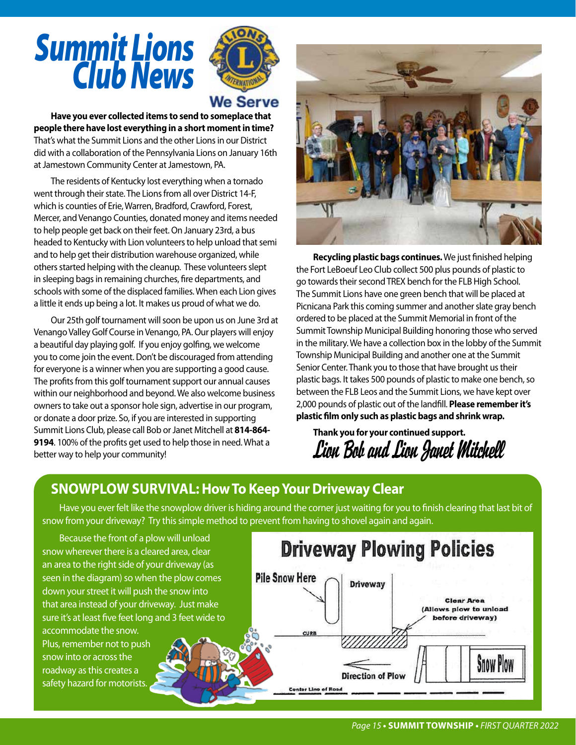# *Summit Lions Club News*



## **We Serve**

**Have you ever collected items to send to someplace that people there have lost everything in a short moment in time?**  That's what the Summit Lions and the other Lions in our District did with a collaboration of the Pennsylvania Lions on January 16th at Jamestown Community Center at Jamestown, PA.

The residents of Kentucky lost everything when a tornado went through their state. The Lions from all over District 14-F, which is counties of Erie, Warren, Bradford, Crawford, Forest, Mercer, and Venango Counties, donated money and items needed to help people get back on their feet. On January 23rd, a bus headed to Kentucky with Lion volunteers to help unload that semi and to help get their distribution warehouse organized, while others started helping with the cleanup. These volunteers slept in sleeping bags in remaining churches, fire departments, and schools with some of the displaced families. When each Lion gives a little it ends up being a lot. It makes us proud of what we do.

Our 25th golf tournament will soon be upon us on June 3rd at Venango Valley Golf Course in Venango, PA. Our players will enjoy a beautiful day playing golf. If you enjoy golfing, we welcome you to come join the event. Don't be discouraged from attending for everyone is a winner when you are supporting a good cause. The profits from this golf tournament support our annual causes within our neighborhood and beyond. We also welcome business owners to take out a sponsor hole sign, advertise in our program, or donate a door prize. So, if you are interested in supporting Summit Lions Club, please call Bob or Janet Mitchell at **814-864- 9194**. 100% of the profits get used to help those in need. What a better way to help your community!



**Recycling plastic bags continues.** We just finished helping the Fort LeBoeuf Leo Club collect 500 plus pounds of plastic to go towards their second TREX bench for the FLB High School. The Summit Lions have one green bench that will be placed at Picnicana Park this coming summer and another slate gray bench ordered to be placed at the Summit Memorial in front of the Summit Township Municipal Building honoring those who served in the military. We have a collection box in the lobby of the Summit Township Municipal Building and another one at the Summit Senior Center. Thank you to those that have brought us their plastic bags. It takes 500 pounds of plastic to make one bench, so between the FLB Leos and the Summit Lions, we have kept over 2,000 pounds of plastic out of the landfill. **Please remember it's plastic film only such as plastic bags and shrink wrap.**

**Thank you for your continued support.** *Lion Bob and Lion Janet Mitchell*

## **SNOWPLOW SURVIVAL: How To Keep Your Driveway Clear**

Have you ever felt like the snowplow driver is hiding around the corner just waiting for you to finish clearing that last bit of snow from your driveway? Try this simple method to prevent from having to shovel again and again.